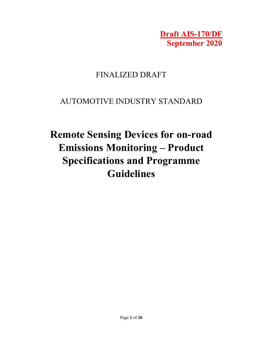Draft AIS-170/DF September 2020

## FINALIZED DRAFT

## AUTOMOTIVE INDUSTRY STANDARD

# Remote Sensing Devices for on-road Emissions Monitoring – Product Specifications and Programme Guidelines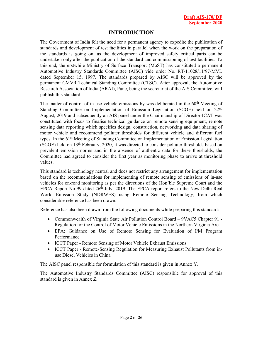#### INTRODUCTION

The Government of India felt the need for a permanent agency to expedite the publication of standards and development of test facilities in parallel when the work on the preparation of the standards is going on, as the development of improved safety critical parts can be undertaken only after the publication of the standard and commissioning of test facilities. To this end, the erstwhile Ministry of Surface Transport (MoST) has constituted a permanent Automotive Industry Standards Committee (AISC) vide order No. RT-11028/11/97-MVL dated September 15, 1997. The standards prepared by AISC will be approved by the permanent CMVR Technical Standing Committee (CTSC). After approval, the Automotive Research Association of India (ARAI), Pune, being the secretariat of the AIS Committee, will publish this standard.

The matter of control of in-use vehicle emissions by was deliberated in the  $60<sup>th</sup>$  Meeting of Standing Committee on Implementation of Emission Legislation (SCOE) held on 22nd August, 2019 and subsequently an AIS panel under the Chairmanship of Director-ICAT was constituted with focus to finalise technical guidance on remote sensing equipment, remote sensing data reporting which specifies design, construction, networking and data sharing of motor vehicle and recommend polluter thresholds for different vehicle and different fuel types. In the 61st Meeting of Standing Committee on Implementation of Emission Legislation (SCOE) held on 13th February, 2020, it was directed to consider polluter thresholds based on prevalent emission norms and in the absence of authentic data for these thresholds, the Committee had agreed to consider the first year as monitoring phase to arrive at threshold values.

This standard is technology neutral and does not restrict any arrangement for implementation based on the recommendations for implementing of remote sensing of emissions of in-use vehicles for on-road monitoring as per the directions of the Hon'ble Supreme Court and the EPCA Report No 99 dated  $26<sup>th</sup>$  July, 2019. The EPCA report refers to the New Delhi Real World Emission Study (NDRWES) using Remote Sensing Technology, from which considerable reference has been drawn.

Reference has also been drawn from the following documents while preparing this standard:

- Commonwealth of Virginia State Air Pollution Control Board 9VAC5 Chapter 91 -Regulation for the Control of Motor Vehicle Emissions in the Northern Virginia Area.
- EPA: Guidance on Use of Remote Sensing for Evaluation of I/M Program Performance
- ICCT Paper Remote Sensing of Motor Vehicle Exhaust Emissions
- ICCT Paper Remote-Sensing Regulation for Measuring Exhaust Pollutants from inuse Diesel Vehicles in China

The AISC panel responsible for formulation of this standard is given in Annex Y.

The Automotive Industry Standards Committee (AISC) responsible for approval of this standard is given in Annex Z.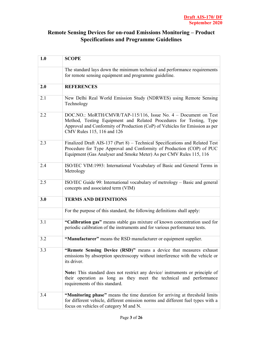### Remote Sensing Devices for on-road Emissions Monitoring – Product Specifications and Programme Guidelines

| 1.0 | <b>SCOPE</b>                                                                                                                                                                                                                                       |
|-----|----------------------------------------------------------------------------------------------------------------------------------------------------------------------------------------------------------------------------------------------------|
|     | The standard lays down the minimum technical and performance requirements<br>for remote sensing equipment and programme guideline.                                                                                                                 |
| 2.0 | <b>REFERENCES</b>                                                                                                                                                                                                                                  |
| 2.1 | New Delhi Real World Emission Study (NDRWES) using Remote Sensing<br>Technology                                                                                                                                                                    |
| 2.2 | DOC.NO.: MoRTH/CMVR/TAP-115/116, Issue No. 4 – Document on Test<br>Method, Testing Equipment and Related Procedures for Testing, Type<br>Approval and Conformity of Production (CoP) of Vehicles for Emission as per<br>CMV Rules 115, 116 and 126 |
| 2.3 | Finalized Draft AIS-137 (Part 8) – Technical Specifications and Related Test<br>Procedure for Type Approval and Conformity of Production (COP) of PUC<br>Equipment (Gas Analyser and Smoke Meter) As per CMV Rules 115, 116                        |
| 2.4 | ISO/IEC VIM:1993: International Vocabulary of Basic and General Terms in<br>Metrology                                                                                                                                                              |
| 2.5 | ISO/IEC Guide 99: International vocabulary of metrology – Basic and general<br>concepts and associated term (VIM)                                                                                                                                  |
| 3.0 | <b>TERMS AND DEFINITIONS</b>                                                                                                                                                                                                                       |
|     | For the purpose of this standard, the following definitions shall apply:                                                                                                                                                                           |
| 3.1 | "Calibration gas" means stable gas mixture of known concentration used for<br>periodic calibration of the instruments and for various performance tests.                                                                                           |
| 3.2 | "Manufacturer" means the RSD manufacturer or equipment supplier.                                                                                                                                                                                   |
| 3.3 | "Remote Sensing Device (RSD)" means a device that measures exhaust<br>emissions by absorption spectroscopy without interference with the vehicle or<br>its driver.                                                                                 |
|     | Note: This standard does not restrict any device/ instruments or principle of<br>their operation as long as they meet the technical and performance<br>requirements of this standard.                                                              |
| 3.4 | "Monitoring phase" means the time duration for arriving at threshold limits<br>for different vehicle, different emission norms and different fuel types with a<br>focus on vehicles of category M and N.                                           |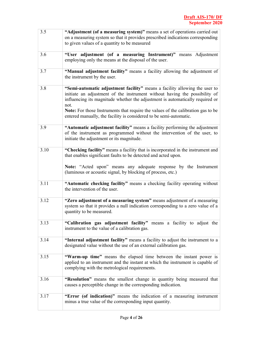| 3.5  | "Adjustment (of a measuring system)" means a set of operations carried out<br>on a measuring system so that it provides prescribed indications corresponding<br>to given values of a quantity to be measured                                                                                                                                                                                                |
|------|-------------------------------------------------------------------------------------------------------------------------------------------------------------------------------------------------------------------------------------------------------------------------------------------------------------------------------------------------------------------------------------------------------------|
| 3.6  | "User adjustment (of a measuring Instrument)" means Adjustment<br>employing only the means at the disposal of the user.                                                                                                                                                                                                                                                                                     |
| 3.7  | "Manual adjustment facility" means a facility allowing the adjustment of<br>the instrument by the user.                                                                                                                                                                                                                                                                                                     |
| 3.8  | "Semi-automatic adjustment facility" means a facility allowing the user to<br>initiate an adjustment of the instrument without having the possibility of<br>influencing its magnitude whether the adjustment is automatically required or<br>not.<br>Note: For those Instruments that require the values of the calibration gas to be<br>entered manually, the facility is considered to be semi-automatic. |
| 3.9  | "Automatic adjustment facility" means a facility performing the adjustment<br>of the instrument as programmed without the intervention of the user, to<br>initiate the adjustment or its magnitude.                                                                                                                                                                                                         |
| 3.10 | "Checking facility" means a facility that is incorporated in the instrument and<br>that enables significant faults to be detected and acted upon.<br>Note: "Acted upon" means any adequate response by the Instrument<br>(luminous or acoustic signal, by blocking of process, etc.)                                                                                                                        |
| 3.11 | "Automatic checking facility" means a checking facility operating without<br>the intervention of the user.                                                                                                                                                                                                                                                                                                  |
| 3.12 | "Zero adjustment of a measuring system" means adjustment of a measuring<br>system so that it provides a null indication corresponding to a zero value of a<br>quantity to be measured.                                                                                                                                                                                                                      |
| 3.13 | "Calibration gas adjustment facility" means a facility to adjust the<br>instrument to the value of a calibration gas.                                                                                                                                                                                                                                                                                       |
| 3.14 | "Internal adjustment facility" means a facility to adjust the instrument to a<br>designated value without the use of an external calibration gas.                                                                                                                                                                                                                                                           |
| 3.15 | "Warm-up time" means the elapsed time between the instant power is<br>applied to an instrument and the instant at which the instrument is capable of<br>complying with the metrological requirements.                                                                                                                                                                                                       |
| 3.16 | "Resolution" means the smallest change in quantity being measured that<br>causes a perceptible change in the corresponding indication.                                                                                                                                                                                                                                                                      |
| 3.17 | "Error (of indication)" means the indication of a measuring instrument<br>minus a true value of the corresponding input quantity.                                                                                                                                                                                                                                                                           |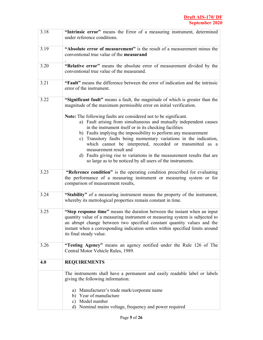| 3.18 | "Intrinsic error" means the Error of a measuring instrument, determined<br>under reference conditions.                                                                                                                                                                                                                                                                                                                                                                                                                                                                    |
|------|---------------------------------------------------------------------------------------------------------------------------------------------------------------------------------------------------------------------------------------------------------------------------------------------------------------------------------------------------------------------------------------------------------------------------------------------------------------------------------------------------------------------------------------------------------------------------|
| 3.19 | "Absolute error of measurement" is the result of a measurement minus the<br>conventional true value of the measurand                                                                                                                                                                                                                                                                                                                                                                                                                                                      |
| 3.20 | "Relative error" means the absolute error of measurement divided by the<br>conventional true value of the measurand.                                                                                                                                                                                                                                                                                                                                                                                                                                                      |
| 3.21 | "Fault" means the difference between the error of indication and the intrinsic<br>error of the instrument.                                                                                                                                                                                                                                                                                                                                                                                                                                                                |
| 3.22 | "Significant fault" means a fault, the magnitude of which is greater than the<br>magnitude of the maximum permissible error on initial verification.                                                                                                                                                                                                                                                                                                                                                                                                                      |
|      | Note: The following faults are considered not to be significant.<br>a) Fault arising from simultaneous and mutually independent causes<br>in the instrument itself or in its checking facilities<br>b) Faults implying the impossibility to perform any measurement<br>c) Transitory faults being momentary variations in the indication,<br>which cannot be interpreted, recorded or transmitted as a<br>measurement result and<br>d) Faults giving rise to variations in the measurement results that are<br>so large as to be noticed by all users of the instruments. |
| 3.23 | "Reference condition" is the operating condition prescribed for evaluating<br>the performance of a measuring instrument or measuring system or for<br>comparison of measurement results,                                                                                                                                                                                                                                                                                                                                                                                  |
| 3.24 | "Stability" of a measuring instrument means the property of the instrument,<br>whereby its metrological properties remain constant in time.                                                                                                                                                                                                                                                                                                                                                                                                                               |
| 3.25 | "Step response time" means the duration between the instant when an input<br>quantity value of a measuring instrument or measuring system is subjected to<br>an abrupt change between two specified constant quantity values and the<br>instant when a corresponding indication settles within specified limits around<br>its final steady value.                                                                                                                                                                                                                         |
| 3.26 | "Testing Agency" means an agency notified under the Rule 126 of The<br>Central Motor Vehicle Rules, 1989.                                                                                                                                                                                                                                                                                                                                                                                                                                                                 |
| 4.0  | <b>REQUIREMENTS</b>                                                                                                                                                                                                                                                                                                                                                                                                                                                                                                                                                       |
|      | The instruments shall have a permanent and easily readable label or labels<br>giving the following information:                                                                                                                                                                                                                                                                                                                                                                                                                                                           |
|      | a) Manufacturer's trade mark/corporate name<br>b) Year of manufacture<br>Model number<br>c)<br>Nominal mains voltage, frequency and power required<br>d)                                                                                                                                                                                                                                                                                                                                                                                                                  |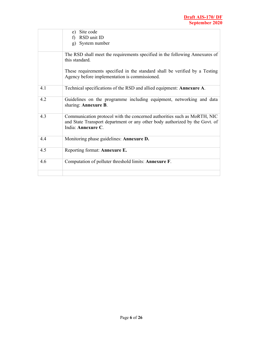|     | Site code<br>e)                                                                                                                                                               |
|-----|-------------------------------------------------------------------------------------------------------------------------------------------------------------------------------|
|     | RSD unit ID                                                                                                                                                                   |
|     | System number<br>$\mathbf{g}$ )                                                                                                                                               |
|     | The RSD shall meet the requirements specified in the following Annexures of<br>this standard.                                                                                 |
|     | These requirements specified in the standard shall be verified by a Testing<br>Agency before implementation is commissioned.                                                  |
| 4.1 | Technical specifications of the RSD and allied equipment: Annexure A.                                                                                                         |
| 4.2 | Guidelines on the programme including equipment, networking and data<br>sharing: Annexure B.                                                                                  |
| 4.3 | Communication protocol with the concerned authorities such as MoRTH, NIC<br>and State Transport department or any other body authorized by the Govt. of<br>India: Annexure C. |
| 4.4 | Monitoring phase guidelines: Annexure D.                                                                                                                                      |
| 4.5 | Reporting format: Annexure E.                                                                                                                                                 |
| 4.6 | Computation of polluter threshold limits: Annexure F.                                                                                                                         |
|     |                                                                                                                                                                               |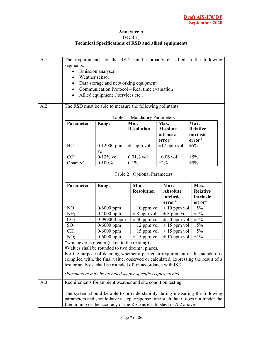#### Annexure A (see 4.1) Technical Specifications of RSD and allied equipments

| A.1                           |                                                                                                                                                                    |                                                                |                               |                                                                     | The requirements for the RSD can be broadly classified in the following                                                                                                |
|-------------------------------|--------------------------------------------------------------------------------------------------------------------------------------------------------------------|----------------------------------------------------------------|-------------------------------|---------------------------------------------------------------------|------------------------------------------------------------------------------------------------------------------------------------------------------------------------|
|                               | segments:                                                                                                                                                          |                                                                |                               |                                                                     |                                                                                                                                                                        |
|                               | $\bullet$                                                                                                                                                          | Emission analyser<br>Weather sensor                            |                               |                                                                     |                                                                                                                                                                        |
|                               | $\bullet$                                                                                                                                                          |                                                                |                               |                                                                     |                                                                                                                                                                        |
|                               | Data storage and networking equipment<br>$\bullet$<br>Communication Protocol – Real time evaluation<br>$\bullet$<br>Allied equipment / services etc.,<br>$\bullet$ |                                                                |                               |                                                                     |                                                                                                                                                                        |
|                               |                                                                                                                                                                    |                                                                |                               |                                                                     |                                                                                                                                                                        |
|                               |                                                                                                                                                                    |                                                                |                               |                                                                     |                                                                                                                                                                        |
| A.2                           | The RSD must be able to measure the following pollutants:                                                                                                          |                                                                |                               |                                                                     |                                                                                                                                                                        |
| Table 1: Mandatory Parameters |                                                                                                                                                                    |                                                                |                               |                                                                     |                                                                                                                                                                        |
|                               | Parameter                                                                                                                                                          | Range                                                          | Min.                          | Max.                                                                | Max.                                                                                                                                                                   |
|                               |                                                                                                                                                                    |                                                                | <b>Resolution</b>             | <b>Absolute</b>                                                     | <b>Relative</b>                                                                                                                                                        |
|                               |                                                                                                                                                                    |                                                                |                               | intrinsic                                                           | intrinsic                                                                                                                                                              |
|                               |                                                                                                                                                                    |                                                                |                               | error*                                                              | error*                                                                                                                                                                 |
|                               | HC                                                                                                                                                                 | $0-12000$ ppm<br>vol                                           | $\pm 1$ ppm vol               | $\pm 12$ ppm vol                                                    | $\pm 5\%$                                                                                                                                                              |
|                               | $CO\#$                                                                                                                                                             | $0-13\%$ vol                                                   | $0.01\%$ vol                  | $\pm 0.06$ vol                                                      | $\pm 5\%$                                                                                                                                                              |
|                               | Opacity <sup>#</sup>                                                                                                                                               | $0-100%$                                                       | 0.1%                          | $\pm 2\%$                                                           | $\pm 5\%$                                                                                                                                                              |
|                               |                                                                                                                                                                    |                                                                | Table 2 : Optional Parameters |                                                                     |                                                                                                                                                                        |
|                               | Parameter                                                                                                                                                          | Range                                                          | Min.<br><b>Resolution</b>     | Max.<br><b>Absolute</b>                                             | Max.<br><b>Relative</b>                                                                                                                                                |
|                               |                                                                                                                                                                    |                                                                |                               | intrinsic                                                           | intrinsic                                                                                                                                                              |
|                               |                                                                                                                                                                    |                                                                |                               | error*                                                              | error*                                                                                                                                                                 |
|                               | NO                                                                                                                                                                 | $0 - 6000$ ppm                                                 | $\pm 10$ ppm vol              | $\pm 10$ ppm vol                                                    | $\pm 5\%$                                                                                                                                                              |
|                               | NH <sub>3</sub>                                                                                                                                                    | $0-4000$ ppm                                                   | $\pm$ 8 ppm vol               | $\pm$ 8 ppm vol                                                     | $\pm 5\%$                                                                                                                                                              |
|                               | CO <sub>2</sub>                                                                                                                                                    | 0-999000 ppm                                                   | $\pm 50$ ppm vol              | $\pm$ 50 ppm vol                                                    | $\pm 5\%$                                                                                                                                                              |
|                               | SO <sub>2</sub>                                                                                                                                                    | $0 - 6000$ ppm                                                 | $\pm$ 12 ppm vol              | $\pm$ 15 ppm vol                                                    | $\pm 5\%$                                                                                                                                                              |
|                               | CH <sub>4</sub>                                                                                                                                                    | $0 - 6000$ ppm                                                 | $\pm$ 15 ppm vol              | $\pm$ 15 ppm vol                                                    | $\pm 5\%$                                                                                                                                                              |
|                               | NO <sub>2</sub>                                                                                                                                                    | $0 - 6000$ ppm                                                 | $\pm$ 15 ppm vol              | $\pm$ 15 ppm vol                                                    | $\pm 5\%$                                                                                                                                                              |
|                               |                                                                                                                                                                    | *whichever is greater (taken to the reading)                   |                               |                                                                     |                                                                                                                                                                        |
|                               |                                                                                                                                                                    | #Values shall be rounded to two decimal places.                |                               |                                                                     |                                                                                                                                                                        |
|                               |                                                                                                                                                                    |                                                                |                               |                                                                     | For the purpose of deciding whether a particular requirement of this standard is<br>complied with, the final value, observed or calculated, expressing the result of a |
|                               |                                                                                                                                                                    | test or analysis, shall be rounded off in accordance with IS 2 |                               |                                                                     |                                                                                                                                                                        |
|                               |                                                                                                                                                                    | (Parameters may be included as per specific requirements)      |                               |                                                                     |                                                                                                                                                                        |
| A.3                           |                                                                                                                                                                    | Requirements for ambient weather and site condition testing:   |                               |                                                                     |                                                                                                                                                                        |
|                               |                                                                                                                                                                    |                                                                |                               | functioning or the accuracy of the RSD as established in A.2 above. | The system should be able to provide stability during measuring the following<br>parameters and should have a step response time such that it does not hinder the      |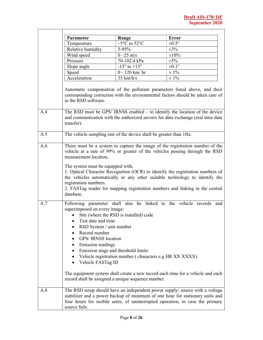$\overline{\phantom{0}}$ 

|     | Parameter                                                                                                                                                                                      | Range                                                                                                                                                                                          | <b>Error</b>                                                                                                                                                                                                                                                                                                                                                                                                  |
|-----|------------------------------------------------------------------------------------------------------------------------------------------------------------------------------------------------|------------------------------------------------------------------------------------------------------------------------------------------------------------------------------------------------|---------------------------------------------------------------------------------------------------------------------------------------------------------------------------------------------------------------------------------------------------------------------------------------------------------------------------------------------------------------------------------------------------------------|
|     | Temperature                                                                                                                                                                                    | $-5^{\circ}$ C to $52^{\circ}$ C                                                                                                                                                               | $\pm 0.5^{\circ}$                                                                                                                                                                                                                                                                                                                                                                                             |
|     | Relative humidity                                                                                                                                                                              | $5 - 95\%$                                                                                                                                                                                     | $\pm 3\%$                                                                                                                                                                                                                                                                                                                                                                                                     |
|     | Wind speed                                                                                                                                                                                     | $0 - 25$ m/s                                                                                                                                                                                   | $\pm 10\%$                                                                                                                                                                                                                                                                                                                                                                                                    |
|     | Pressure                                                                                                                                                                                       | 70-102.4 kPa                                                                                                                                                                                   | $\pm 5\%$                                                                                                                                                                                                                                                                                                                                                                                                     |
|     | Slope angle                                                                                                                                                                                    | $-15^{\circ}$ to $+15^{\circ}$                                                                                                                                                                 | $\pm 0.1^{\circ}$                                                                                                                                                                                                                                                                                                                                                                                             |
|     | Speed                                                                                                                                                                                          | $0 - 120$ km/ hr                                                                                                                                                                               | $\pm 1\%$                                                                                                                                                                                                                                                                                                                                                                                                     |
|     | Acceleration                                                                                                                                                                                   | $35 \text{ km/h/s}$                                                                                                                                                                            | $\pm 1\%$                                                                                                                                                                                                                                                                                                                                                                                                     |
| A.4 | in the RSD software.                                                                                                                                                                           |                                                                                                                                                                                                | Automatic compensation of the pollutant parameters listed above, and their<br>corresponding correction with the environmental factors should be taken care of<br>The RSD must be GPS/ IRNSS enabled $-$ to identify the location of the device<br>and communication with the authorized servers for data exchange (real time data                                                                             |
| A.5 | transfer).                                                                                                                                                                                     | The vehicle sampling rate of the device shall be greater than 1Hz.                                                                                                                             |                                                                                                                                                                                                                                                                                                                                                                                                               |
|     |                                                                                                                                                                                                |                                                                                                                                                                                                |                                                                                                                                                                                                                                                                                                                                                                                                               |
| A.6 | measurement location.<br>The system must be equipped with,<br>registration numbers.<br>database.                                                                                               |                                                                                                                                                                                                | There must be a system to capture the image of the registration number of the<br>vehicle at a rate of 99% or greater of the vehicles passing through the RSD<br>1. Optical Character Recognition (OCR) to identify the registration numbers of<br>the vehicles automatically or any other suitable technology to identify the<br>2. FASTag reader for mapping registration numbers and linking in the central |
| A.7 | superimposed on every image:<br>Test date and time<br>$\bullet$<br>RSD System / unit number<br>Record number<br>GPS/IRNSS location<br>Emission readings<br>٠<br>Vehicle FASTag ID<br>$\bullet$ | Site (where the RSD is installed) code<br>Emission stage and threshold limits<br>Vehicle registration number (characters e.g HR XX XXXX)<br>record shall be assigned a unique sequence number. | Following parameter shall also be linked to the vehicle records and<br>The equipment system shall create a new record each time for a vehicle and each                                                                                                                                                                                                                                                        |
| A.8 | source fails.                                                                                                                                                                                  |                                                                                                                                                                                                | The RSD setup should have an independent power supply/ source with a voltage<br>stabilizer and a power backup of minimum of one hour for stationary units and<br>four hours for mobile units, of uninterrupted operation, in case the primary                                                                                                                                                                 |

Г

T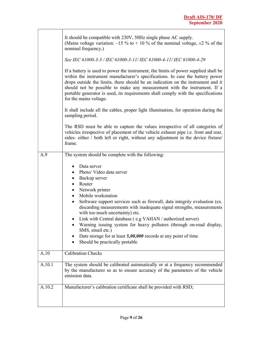$\overline{\phantom{0}}$ 

|        | It should be compatible with 230V, 50Hz single phase AC supply.<br>(Mains voltage variation: $-15\%$ to $+10\%$ of the nominal voltage, $\pm 2\%$ of the<br>nominal frequency.)                                                                                                                                                                                                                                                                                                                                                                                                                                                                                                      |  |  |  |
|--------|--------------------------------------------------------------------------------------------------------------------------------------------------------------------------------------------------------------------------------------------------------------------------------------------------------------------------------------------------------------------------------------------------------------------------------------------------------------------------------------------------------------------------------------------------------------------------------------------------------------------------------------------------------------------------------------|--|--|--|
|        | See IEC 61000-3-3 / IEC 61000-3-11/ IEC 61000-4-11/ IEC 61000-4-29                                                                                                                                                                                                                                                                                                                                                                                                                                                                                                                                                                                                                   |  |  |  |
|        | If a battery is used to power the instrument, the limits of power supplied shall be<br>within the instrument manufacturer's specifications. In case the battery power<br>drops outside the limits, there should be an indication on the instrument and it<br>should not be possible to make any measurement with the instrument. If a<br>portable generator is used, its requirements shall comply with the specifications<br>for the mains voltage.                                                                                                                                                                                                                                 |  |  |  |
|        | It shall include all the cables, proper light illumination, for operation during the<br>sampling period.                                                                                                                                                                                                                                                                                                                                                                                                                                                                                                                                                                             |  |  |  |
|        | The RSD must be able to capture the values irrespective of all categories of<br>vehicles irrespective of placement of the vehicle exhaust pipe i.e. front and rear,<br>sides-either / both left or right, without any adjustment in the device fixture/<br>frame.                                                                                                                                                                                                                                                                                                                                                                                                                    |  |  |  |
| A.9    | The system should be complete with the following:                                                                                                                                                                                                                                                                                                                                                                                                                                                                                                                                                                                                                                    |  |  |  |
|        | Data server<br>$\bullet$<br>Photo/ Video data server<br>$\bullet$<br>Backup server<br>$\bullet$<br>Router<br>$\bullet$<br>Network printer<br>$\bullet$<br>Mobile workstation<br>$\bullet$<br>Software support services such as firewall, data integrity evaluation (ex.<br>$\bullet$<br>discarding measurements with inadequate signal strengths, measurements<br>with too much uncertainty) etc.<br>Link with Central database (e.g VAHAN / authorized server)<br>٠<br>Warning issuing system for heavy polluters (through on-road display,<br>SMS, email etc.)<br>Date storage for at least $5,00,000$ records at any point of time<br>Should be practically portable<br>$\bullet$ |  |  |  |
| A.10   | <b>Calibration Checks</b>                                                                                                                                                                                                                                                                                                                                                                                                                                                                                                                                                                                                                                                            |  |  |  |
| A.10.1 | The system should be calibrated automatically or at a frequency recommended<br>by the manufacturer so as to ensure accuracy of the parameters of the vehicle<br>emission data.                                                                                                                                                                                                                                                                                                                                                                                                                                                                                                       |  |  |  |
| A.10.2 | Manufacturer's calibration certificate shall be provided with RSD;                                                                                                                                                                                                                                                                                                                                                                                                                                                                                                                                                                                                                   |  |  |  |
|        |                                                                                                                                                                                                                                                                                                                                                                                                                                                                                                                                                                                                                                                                                      |  |  |  |

 $\mathsf{r}$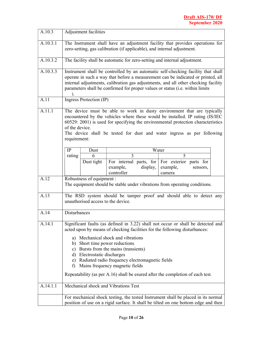| A.10.3   | Adjustment facilities                                                                                                                                                                                                                                                                                                                                    |  |  |
|----------|----------------------------------------------------------------------------------------------------------------------------------------------------------------------------------------------------------------------------------------------------------------------------------------------------------------------------------------------------------|--|--|
| A.10.3.1 | The Instrument shall have an adjustment facility that provides operations for<br>zero-setting, gas calibration (if applicable), and internal adjustment.                                                                                                                                                                                                 |  |  |
| A.10.3.2 | The facility shall be automatic for zero-setting and internal adjustment.                                                                                                                                                                                                                                                                                |  |  |
| A.10.3.3 | Instrument shall be controlled by an automatic self-checking facility that shall<br>operate in such a way that before a measurement can be indicated or printed, all<br>internal adjustments, calibration gas adjustments, and all other checking facility<br>parameters shall be confirmed for proper values or status (i.e. within limits<br>1.        |  |  |
| A.11     | Ingress Protection (IP)                                                                                                                                                                                                                                                                                                                                  |  |  |
| A.11.1   | The device must be able to work in dusty environment that are typically<br>encountered by the vehicles where these would be installed. IP rating (IS/IEC<br>60529: 2001) is used for specifying the environmental protection characteristics<br>of the device.<br>The device shall be tested for dust and water ingress as per following<br>requirement: |  |  |
|          | IP<br>Water<br>Dust                                                                                                                                                                                                                                                                                                                                      |  |  |
|          | 5<br>3<br>rating<br>6<br>For internal parts, for<br>For exterior parts for<br>Dust tight<br>example,<br>display,<br>example,<br>sensors,<br>controller<br>camera                                                                                                                                                                                         |  |  |
| A.12     | Robustness of equipment :<br>The equipment should be stable under vibrations from operating conditions.                                                                                                                                                                                                                                                  |  |  |
| A.13     | The RSD system should be tamper proof and should able to detect any<br>unauthorised access to the device.                                                                                                                                                                                                                                                |  |  |
| A.14     | Disturbances                                                                                                                                                                                                                                                                                                                                             |  |  |
| A.14.1   | Significant faults (as defined in 3.22) shall not occur or shall be detected and<br>acted upon by means of checking facilities for the following disturbances:<br>a) Mechanical shock and vibrations<br>b) Short time power reductions                                                                                                                   |  |  |
|          | c) Bursts from the mains (transients)<br>d) Electrostatic discharges<br>e) Radiated radio frequency electromagnetic fields<br>Mains frequency magnetic fields<br>f)                                                                                                                                                                                      |  |  |
|          | Repeatability (as per A.16) shall be esured after the completion of each test.                                                                                                                                                                                                                                                                           |  |  |
| A.14.1.1 | Mechanical shock and Vibrations Test                                                                                                                                                                                                                                                                                                                     |  |  |
|          | For mechanical shock testing, the tested Instrument shall be placed in its normal<br>position of use on a rigid surface. It shall be tilted on one bottom edge and then                                                                                                                                                                                  |  |  |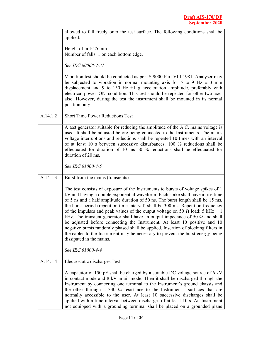|          | allowed to fall freely onto the test surface. The following conditions shall be<br>applied:                                                                                                                                                                                                                                                                                                                                                                                                                                                                                                                                                                                                                                                                                                                        |
|----------|--------------------------------------------------------------------------------------------------------------------------------------------------------------------------------------------------------------------------------------------------------------------------------------------------------------------------------------------------------------------------------------------------------------------------------------------------------------------------------------------------------------------------------------------------------------------------------------------------------------------------------------------------------------------------------------------------------------------------------------------------------------------------------------------------------------------|
|          | Height of fall: 25 mm                                                                                                                                                                                                                                                                                                                                                                                                                                                                                                                                                                                                                                                                                                                                                                                              |
|          | Number of falls: 1 on each bottom edge.                                                                                                                                                                                                                                                                                                                                                                                                                                                                                                                                                                                                                                                                                                                                                                            |
|          | See IEC 60068-2-31                                                                                                                                                                                                                                                                                                                                                                                                                                                                                                                                                                                                                                                                                                                                                                                                 |
|          | Vibration test should be conducted as per IS 9000 Part VIII 1981. Analyser may<br>be subjected to vibration in normal mounting axis for 5 to 9 Hz $\pm$ 3 mm<br>displacement and 9 to 150 Hz $\pm 1$ g acceleration amplitude, preferably with<br>electrical power 'ON' condition. This test should be repeated for other two axes<br>also. However, during the test the instrument shall be mounted in its normal<br>position only.                                                                                                                                                                                                                                                                                                                                                                               |
| A.14.1.2 | <b>Short Time Power Reductions Test</b>                                                                                                                                                                                                                                                                                                                                                                                                                                                                                                                                                                                                                                                                                                                                                                            |
|          | A test generator suitable for reducing the amplitude of the A.C. mains voltage is<br>used. It shall be adjusted before being connected to the Instruments. The mains<br>voltage interruptions and reductions shall be repeated 10 times with an interval<br>of at least 10 s between successive disturbances. 100 $\%$ reductions shall be<br>effectuated for duration of 10 ms 50 % reductions shall be effectuated for<br>duration of 20 ms.                                                                                                                                                                                                                                                                                                                                                                     |
|          | See IEC 61000-4-5                                                                                                                                                                                                                                                                                                                                                                                                                                                                                                                                                                                                                                                                                                                                                                                                  |
| A.14.1.3 | Burst from the mains (transients)                                                                                                                                                                                                                                                                                                                                                                                                                                                                                                                                                                                                                                                                                                                                                                                  |
|          | The test consists of exposure of the Instruments to bursts of voltage spikes of 1<br>kV and having a double exponential waveform. Each spike shall have a rise time<br>of 5 ns and a half amplitude duration of 50 ns. The burst length shall be 15 ms,<br>the burst period (repetition time interval) shall be 300 ms. Repetition frequency<br>of the impulses and peak values of the output voltage on 50 $\Omega$ load: 5 kHz $\pm$ 1<br>kHz. The transient generator shall have an output impedance of 50 $\Omega$ and shall<br>be adjusted before connecting the Instrument. At least 10 positive and 10<br>negative bursts randomly phased shall be applied. Insertion of blocking filters in<br>the cables to the Instrument may be necessary to prevent the burst energy being<br>dissipated in the mains. |
|          | See IEC 61000-4-4                                                                                                                                                                                                                                                                                                                                                                                                                                                                                                                                                                                                                                                                                                                                                                                                  |
| A.14.1.4 | Electrostatic discharges Test                                                                                                                                                                                                                                                                                                                                                                                                                                                                                                                                                                                                                                                                                                                                                                                      |
|          | A capacitor of 150 pF shall be charged by a suitable DC voltage source of 6 kV<br>in contact mode and 8 kV in air mode. Then it shall be discharged through the<br>Instrument by connecting one terminal to the Instrument's ground chassis and<br>the other through a 330 $\Omega$ resistance to the Instrument's surfaces that are<br>normally accessible to the user. At least 10 successive discharges shall be<br>applied with a time interval between discharges of at least 10 s. An Instrument<br>not equipped with a grounding terminal shall be placed on a grounded plane                                                                                                                                                                                                                               |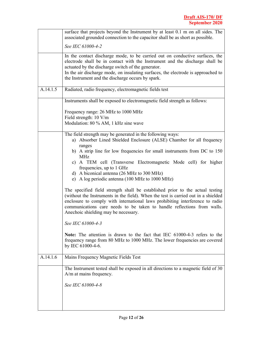|          | surface that projects beyond the Instrument by at least 0.1 m on all sides. The<br>associated grounded connection to the capacitor shall be as short as possible.                                                                                                                                                                                                                                                                                                                                                                                                                                                                                                                                                                                                                                                                                                                                                                                                                                                       |
|----------|-------------------------------------------------------------------------------------------------------------------------------------------------------------------------------------------------------------------------------------------------------------------------------------------------------------------------------------------------------------------------------------------------------------------------------------------------------------------------------------------------------------------------------------------------------------------------------------------------------------------------------------------------------------------------------------------------------------------------------------------------------------------------------------------------------------------------------------------------------------------------------------------------------------------------------------------------------------------------------------------------------------------------|
|          | See IEC 61000-4-2                                                                                                                                                                                                                                                                                                                                                                                                                                                                                                                                                                                                                                                                                                                                                                                                                                                                                                                                                                                                       |
|          | In the contact discharge mode, to be carried out on conductive surfaces, the<br>electrode shall be in contact with the Instrument and the discharge shall be<br>actuated by the discharge switch of the generator.<br>In the air discharge mode, on insulating surfaces, the electrode is approached to<br>the Instrument and the discharge occurs by spark.                                                                                                                                                                                                                                                                                                                                                                                                                                                                                                                                                                                                                                                            |
| A.14.1.5 | Radiated, radio frequency, electromagnetic fields test                                                                                                                                                                                                                                                                                                                                                                                                                                                                                                                                                                                                                                                                                                                                                                                                                                                                                                                                                                  |
|          | Instruments shall be exposed to electromagnetic field strength as follows:                                                                                                                                                                                                                                                                                                                                                                                                                                                                                                                                                                                                                                                                                                                                                                                                                                                                                                                                              |
|          | Frequency range: 26 MHz to 1000 MHz<br>Field strength: 10 V/m<br>Modulation: 80 % AM, 1 kHz sine wave                                                                                                                                                                                                                                                                                                                                                                                                                                                                                                                                                                                                                                                                                                                                                                                                                                                                                                                   |
|          | The field strength may be generated in the following ways:<br>a) Absorber Lined Shielded Enclosure (ALSE) Chamber for all frequency<br>ranges<br>b) A strip line for low frequencies for small instruments from DC to 150<br><b>MHz</b><br>c) A TEM cell (Transverse Electromagnetic Mode cell) for higher<br>frequencies, up to 1 GHz<br>d) A biconical antenna (26 MHz to 300 MHz)<br>e) A log periodic antenna (100 MHz to 1000 MHz)<br>The specified field strength shall be established prior to the actual testing<br>(without the Instruments in the field). When the test is carried out in a shielded<br>enclosure to comply with international laws prohibiting interference to radio<br>communications care needs to be taken to handle reflections from walls.<br>Anechoic shielding may be necessary.<br>See IEC 61000-4-3<br>Note: The attention is drawn to the fact that IEC 61000-4-3 refers to the<br>frequency range from 80 MHz to 1000 MHz. The lower frequencies are covered<br>by IEC 61000-4-6. |
| A.14.1.6 | Mains Frequency Magnetic Fields Test                                                                                                                                                                                                                                                                                                                                                                                                                                                                                                                                                                                                                                                                                                                                                                                                                                                                                                                                                                                    |
|          | The Instrument tested shall be exposed in all directions to a magnetic field of 30<br>A/m at mains frequency.<br>See IEC 61000-4-8                                                                                                                                                                                                                                                                                                                                                                                                                                                                                                                                                                                                                                                                                                                                                                                                                                                                                      |
|          |                                                                                                                                                                                                                                                                                                                                                                                                                                                                                                                                                                                                                                                                                                                                                                                                                                                                                                                                                                                                                         |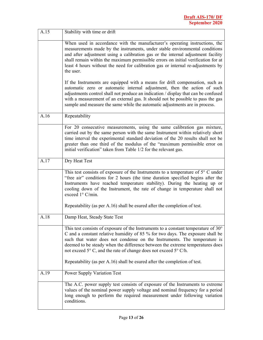| A.15 | Stability with time or drift                                                                                                                                                                                                                                                                                                                                                                                                         |  |  |
|------|--------------------------------------------------------------------------------------------------------------------------------------------------------------------------------------------------------------------------------------------------------------------------------------------------------------------------------------------------------------------------------------------------------------------------------------|--|--|
|      | When used in accordance with the manufacturer's operating instructions, the<br>measurements made by the instruments, under stable environmental conditions<br>and after adjustment using a calibration gas or the internal adjustment facility<br>shall remain within the maximum permissible errors on initial verification for at<br>least 4 hours without the need for calibration gas or internal re-adjustments by<br>the user. |  |  |
|      | If the Instruments are equipped with a means for drift compensation, such as<br>automatic zero or automatic internal adjustment, then the action of such<br>adjustments control shall not produce an indication / display that can be confused<br>with a measurement of an external gas. It should not be possible to pass the gas<br>sample and measure the same while the automatic adjustments are in process.                    |  |  |
| A.16 | Repeatability                                                                                                                                                                                                                                                                                                                                                                                                                        |  |  |
|      | For 20 consecutive measurements, using the same calibration gas mixture,<br>carried out by the same person with the same Instrument within relatively short<br>time interval the experimental standard deviation of the 20 results shall not be<br>greater than one third of the modulus of the "maximum permissible error on<br>initial verification" taken from Table 1/2 for the relevant gas.                                    |  |  |
| A.17 | Dry Heat Test                                                                                                                                                                                                                                                                                                                                                                                                                        |  |  |
|      | This test consists of exposure of the Instruments to a temperature of $5^{\circ}$ C under<br>"free air" conditions for 2 hours (the time duration specified begins after the<br>Instruments have reached temperature stability). During the heating up or<br>cooling down of the Instrument, the rate of change in temperature shall not<br>exceed 1° C/min.                                                                         |  |  |
|      | Repeatability (as per A.16) shall be esured after the completion of test.                                                                                                                                                                                                                                                                                                                                                            |  |  |
| A.18 | Damp Heat, Steady State Test                                                                                                                                                                                                                                                                                                                                                                                                         |  |  |
|      | This test consists of exposure of the Instruments to a constant temperature of 30°<br>C and a constant relative humidity of 85 % for two days. The exposure shall be<br>such that water does not condense on the Instruments. The temperature is<br>deemed to be steady when the difference between the extreme temperatures does<br>not exceed 5° C, and the rate of change does not exceed 5° C/h.                                 |  |  |
|      | Repeatability (as per A.16) shall be esured after the completion of test.                                                                                                                                                                                                                                                                                                                                                            |  |  |
| A.19 | <b>Power Supply Variation Test</b>                                                                                                                                                                                                                                                                                                                                                                                                   |  |  |
|      | The A.C. power supply test consists of exposure of the Instruments to extreme<br>values of the nominal power supply voltage and nominal frequency for a period<br>long enough to perform the required measurement under following variation<br>conditions.                                                                                                                                                                           |  |  |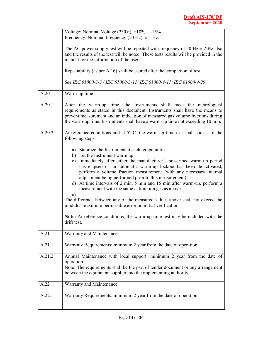| Warranty and Maintenance                                                                                                                                                                                                                                                                                                                                                                   |  |  |
|--------------------------------------------------------------------------------------------------------------------------------------------------------------------------------------------------------------------------------------------------------------------------------------------------------------------------------------------------------------------------------------------|--|--|
|                                                                                                                                                                                                                                                                                                                                                                                            |  |  |
|                                                                                                                                                                                                                                                                                                                                                                                            |  |  |
| modulus maximum permissible error on initial verification.<br>Note: At reference conditions, the warm-up time test may be included with the<br>drift test.                                                                                                                                                                                                                                 |  |  |
| measurement with the same calibration gas as above.<br>e)<br>The difference between any of the measured values above shall not exceed the                                                                                                                                                                                                                                                  |  |  |
| b) Let the Instrument warm up<br>c) Immediately after either the manufacturer's prescribed warm-up period<br>has elapsed or an automatic warm-up lockout has been de-activated,<br>perform a volume fraction measurement (with any necessary internal<br>adjustment being performed prior to this measurement)<br>d) At time intervals of 2 min, 5 min and 15 min after warm-up, perform a |  |  |
| a) Stabilize the Instrument at each temperature                                                                                                                                                                                                                                                                                                                                            |  |  |
| At reference conditions and at $5^{\circ}$ C, the warm-up time test shall consist of the<br>following steps:                                                                                                                                                                                                                                                                               |  |  |
| After the warm-up time, the Instruments shall meet the metrological<br>requirements as stated in this document. Instruments shall have the means to<br>prevent measurement and an indication of measured gas volume fractions during<br>the warm-up time. Instruments shall have a warm-up time not exceeding 10 min.                                                                      |  |  |
| Warm-up time                                                                                                                                                                                                                                                                                                                                                                               |  |  |
| See IEC 61000-3-3 / IEC 61000-3-11/ IEC 61000-4-11/ IEC 61000-4-29                                                                                                                                                                                                                                                                                                                         |  |  |
| Repeatability (as per A.16) shall be esured after the completion of test.                                                                                                                                                                                                                                                                                                                  |  |  |
| The AC power supply test will be repeated with frequency of 50 Hz $\pm$ 2 Hz also<br>and the results of the test will be noted. These tests results will be provided in the<br>manual for the information of the user.                                                                                                                                                                     |  |  |
| Voltage: Nominal Voltage $(230V)$ , $+10\% \sim -15\%$<br>Frequency: Nominal Frequency (50 Hz), $\pm$ 1 Hz.                                                                                                                                                                                                                                                                                |  |  |
|                                                                                                                                                                                                                                                                                                                                                                                            |  |  |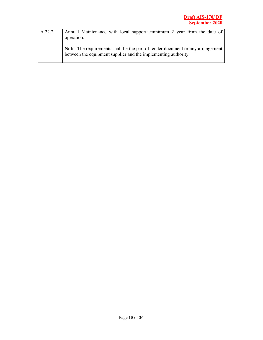| A.22.2 | Annual Maintenance with local support: minimum 2 year from the date of<br>operation.                                                             |
|--------|--------------------------------------------------------------------------------------------------------------------------------------------------|
|        | Note: The requirements shall be the part of tender document or any arrangement<br>between the equipment supplier and the implementing authority. |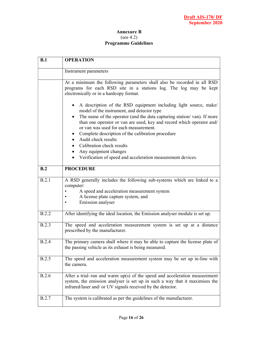#### Annexure B (see 4.2) Programme Guidelines

| B.1          | <b>OPERATION</b>                                                                                                                                                                                                                                                                                                                                                                       |  |  |  |  |  |
|--------------|----------------------------------------------------------------------------------------------------------------------------------------------------------------------------------------------------------------------------------------------------------------------------------------------------------------------------------------------------------------------------------------|--|--|--|--|--|
|              | Instrument parameters                                                                                                                                                                                                                                                                                                                                                                  |  |  |  |  |  |
|              | At a minimum the following parameters shall also be recorded in all RSD<br>programs for each RSD site in a stations log. The log may be kept<br>electronically or in a hardcopy format.                                                                                                                                                                                                |  |  |  |  |  |
|              | A description of the RSD equipment including light source, make/<br>model of the instrument, and detector type<br>The name of the operator (and the data capturing station/van). If more<br>than one operator or van are used, key and record which operator and/<br>or van was used for each measurement.<br>Complete description of the calibration procedure<br>Audit check results |  |  |  |  |  |
|              | Calibration check results                                                                                                                                                                                                                                                                                                                                                              |  |  |  |  |  |
|              | Any equipment changes                                                                                                                                                                                                                                                                                                                                                                  |  |  |  |  |  |
|              | Verification of speed and acceleration measurement devices.                                                                                                                                                                                                                                                                                                                            |  |  |  |  |  |
| B.2          | <b>PROCEDURE</b>                                                                                                                                                                                                                                                                                                                                                                       |  |  |  |  |  |
| B.2.1        | A RSD generally includes the following sub-systems which are linked to a<br>computer:<br>A speed and acceleration measurement system<br>$\bullet$<br>A license plate capture system, and<br>٠<br>Emission analyser                                                                                                                                                                     |  |  |  |  |  |
| B.2.2        | After identifying the ideal location, the Emission analyser module is set up.                                                                                                                                                                                                                                                                                                          |  |  |  |  |  |
| B.2.3        | The speed and acceleration measurement system is set up at a distance<br>prescribed by the manufacturer.                                                                                                                                                                                                                                                                               |  |  |  |  |  |
| <b>B.2.4</b> | The primary camera shall where it may be able to capture the license plate of<br>the passing vehicle as its exhaust is being measured.                                                                                                                                                                                                                                                 |  |  |  |  |  |
| B.2.5        | The speed and acceleration measurement system may be set up in-line with<br>the camera.                                                                                                                                                                                                                                                                                                |  |  |  |  |  |
| B.2.6        | After a trial-run and warm $up(s)$ of the speed and acceleration measurement<br>system, the emission analyser is set up in such a way that it maximises the<br>infrared/laser and/ or UV signals received by the detector.                                                                                                                                                             |  |  |  |  |  |
| <b>B.2.7</b> | The system is calibrated as per the guidelines of the manufacturer.                                                                                                                                                                                                                                                                                                                    |  |  |  |  |  |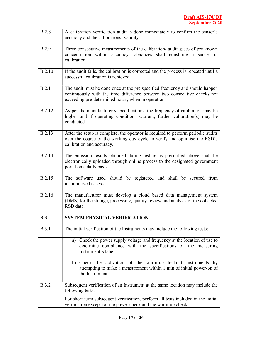| B.2.8         | A calibration verification audit is done immediately to confirm the sensor's<br>accuracy and the calibrations' validity.                                                                                       |  |  |  |  |
|---------------|----------------------------------------------------------------------------------------------------------------------------------------------------------------------------------------------------------------|--|--|--|--|
| <b>B.2.9</b>  | Three consecutive measurements of the calibration/ audit gases of pre-known<br>concentration within accuracy tolerances shall constitute a successful<br>calibration.                                          |  |  |  |  |
| <b>B.2.10</b> | If the audit fails, the calibration is corrected and the process is repeated until a<br>successful calibration is achieved.                                                                                    |  |  |  |  |
| B.2.11        | The audit must be done once at the pre specified frequency and should happen<br>continuously with the time difference between two consecutive checks not<br>exceeding pre-determined hours, when in operation. |  |  |  |  |
| <b>B.2.12</b> | As per the manufacturer's specifications, the frequency of calibration may be<br>higher and if operating conditions warrant, further calibration(s) may be<br>conducted.                                       |  |  |  |  |
| B.2.13        | After the setup is complete, the operator is required to perform periodic audits<br>over the course of the working day cycle to verify and optimise the RSD's<br>calibration and accuracy.                     |  |  |  |  |
| <b>B.2.14</b> | The emission results obtained during testing as prescribed above shall be<br>electronically uploaded through online process to the designated government<br>portal on a daily basis.                           |  |  |  |  |
| B.2.15        | The software used should be registered and shall be secured from<br>unauthorized access.                                                                                                                       |  |  |  |  |
| B.2.16        | The manufacturer must develop a cloud based data management system<br>(DMS) for the storage, processing, quality-review and analysis of the collected<br>RSD data.                                             |  |  |  |  |
| B.3           | <b>SYSTEM PHYSICAL VERIFICATION</b>                                                                                                                                                                            |  |  |  |  |
| <b>B.3.1</b>  | The initial verification of the Instruments may include the following tests:                                                                                                                                   |  |  |  |  |
|               | a) Check the power supply voltage and frequency at the location of use to<br>determine compliance with the specifications on the measuring<br>Instrument's label.                                              |  |  |  |  |
|               | b) Check the activation of the warm-up lockout Instruments by<br>attempting to make a measurement within 1 min of initial power-on of<br>the Instruments.                                                      |  |  |  |  |
| <b>B.3.2</b>  | Subsequent verification of an Instrument at the same location may include the<br>following tests:                                                                                                              |  |  |  |  |
|               | For short-term subsequent verification, perform all tests included in the initial<br>verification except for the power check and the warm-up check.                                                            |  |  |  |  |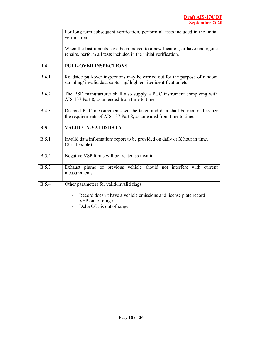|              | For long-term subsequent verification, perform all tests included in the initial<br>verification.                                                |
|--------------|--------------------------------------------------------------------------------------------------------------------------------------------------|
|              | When the Instruments have been moved to a new location, or have undergone<br>repairs, perform all tests included in the initial verification.    |
| B.4          | <b>PULL-OVER INSPECTIONS</b>                                                                                                                     |
| B.4.1        | Roadside pull-over inspections may be carried out for the purpose of random<br>sampling/ invalid data capturing/ high emiiter identification etc |
| <b>B.4.2</b> | The RSD manufacturer shall also supply a PUC instrument complying with<br>AIS-137 Part 8, as amended from time to time.                          |
| <b>B.4.3</b> | On-road PUC measurements will be taken and data shall be recorded as per<br>the requirements of AIS-137 Part 8, as amended from time to time.    |
|              |                                                                                                                                                  |
| B.5          | <b>VALID / IN-VALID DATA</b>                                                                                                                     |
| B.5.1        | Invalid data information/report to be provided on daily or X hour in time.<br>$(X$ is flexible)                                                  |
| <b>B.5.2</b> | Negative VSP limits will be treated as invalid                                                                                                   |
| <b>B.5.3</b> | Exhaust plume of previous vehicle should not interfere with current<br>measurements                                                              |
| <b>B.5.4</b> | Other parameters for valid/invalid flags:                                                                                                        |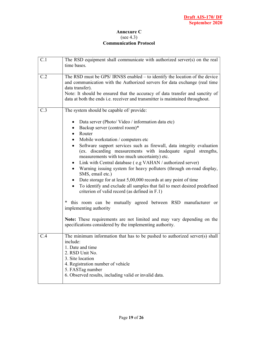#### Annexure C (see 4.3) Communication Protocol

| C.1 | The RSD equipment shall communicate with authorized server(s) on the real<br>time bases.                                                                                                                                                                                                                                                                                                                                                                                                                                                                                                                                                                                                                                                                                                                                                               |
|-----|--------------------------------------------------------------------------------------------------------------------------------------------------------------------------------------------------------------------------------------------------------------------------------------------------------------------------------------------------------------------------------------------------------------------------------------------------------------------------------------------------------------------------------------------------------------------------------------------------------------------------------------------------------------------------------------------------------------------------------------------------------------------------------------------------------------------------------------------------------|
| C.2 | The RSD must be GPS/IRNSS enabled – to identify the location of the device<br>and communication with the Authorized servers for data exchange (real time<br>data transfer).<br>Note: It should be ensured that the accuracy of data transfer and sanctity of<br>data at both the ends i.e. receiver and transmitter is maintained throughout.                                                                                                                                                                                                                                                                                                                                                                                                                                                                                                          |
| C.3 | The system should be capable of/ provide:<br>Data server (Photo/Video/information data etc)<br>$\bullet$<br>Backup server (control room)*<br>$\bullet$<br>Router<br>$\bullet$<br>Mobile workstation / computers etc<br>$\bullet$<br>Software support services such as firewall, data integrity evaluation<br>$\bullet$<br>(ex. discarding measurements with inadequate signal strengths,<br>measurements with too much uncertainty) etc.<br>Link with Central database (e.g VAHAN / authorized server)<br>$\bullet$<br>Warning issuing system for heavy polluters (through on-road display,<br>$\bullet$<br>SMS, email etc.)<br>Date storage for at least 5,00,000 records at any point of time<br>$\bullet$<br>To identify and exclude all samples that fail to meet desired predefined<br>$\bullet$<br>criterion of valid record (as defined in F.1) |
|     | * this room can be mutually agreed between RSD manufacturer or<br>implementing authority<br>Note: These requirements are not limited and may vary depending on the<br>specifications considered by the implementing authority.                                                                                                                                                                                                                                                                                                                                                                                                                                                                                                                                                                                                                         |
| C.4 | The minimum information that has to be pushed to authorized server(s) shall<br>include:<br>1. Date and time<br>2. RSD Unit No.<br>3. Site location<br>4. Registration number of vehicle<br>5. FASTag number<br>6. Observed results, including valid or invalid data.                                                                                                                                                                                                                                                                                                                                                                                                                                                                                                                                                                                   |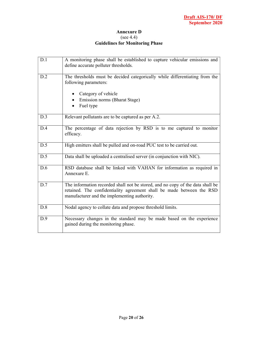#### Annexure D (see 4.4) Guidelines for Monitoring Phase

| D.1 | A monitoring phase shall be established to capture vehicular emissions and<br>define accurate polluter thresholds.                                                                                      |
|-----|---------------------------------------------------------------------------------------------------------------------------------------------------------------------------------------------------------|
| D.2 | The thresholds must be decided categorically while differentiating from the<br>following parameters:<br>Category of vehicle                                                                             |
|     |                                                                                                                                                                                                         |
|     | Emission norms (Bharat Stage)                                                                                                                                                                           |
|     | Fuel type                                                                                                                                                                                               |
| D.3 | Relevant pollutants are to be captured as per A.2.                                                                                                                                                      |
| D.4 | The percentage of data rejection by RSD is to me captured to monitor<br>efficacy.                                                                                                                       |
| D.5 | High emitters shall be pulled and on-road PUC test to be carried out.                                                                                                                                   |
| D.5 | Data shall be uploaded a centralised server (in conjunction with NIC).                                                                                                                                  |
| D.6 | RSD database shall be linked with VAHAN for information as required in<br>Annexure E.                                                                                                                   |
| D.7 | The information recorded shall not be stored, and no copy of the data shall be<br>retained. The confidentiality agreement shall be made between the RSD<br>manufacturer and the implementing authority. |
| D.8 | Nodal agency to collate data and propose threshold limits.                                                                                                                                              |
| D.9 | Necessary changes in the standard may be made based on the experience<br>gained during the monitoring phase.                                                                                            |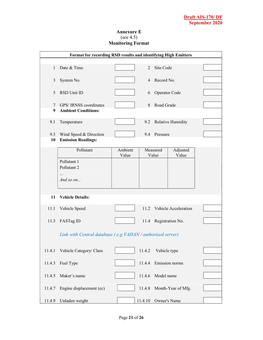#### Annexure E (see 4.5) Monitoring Format

|                 | Format for recording RSD results and identifying High Emitters |                  |        |                      |                      |  |
|-----------------|----------------------------------------------------------------|------------------|--------|----------------------|----------------------|--|
| 1               | Date & Time                                                    |                  | 2      | Site Code            |                      |  |
| 3               | System No.                                                     |                  | 4      | Record No.           |                      |  |
| 5               | RSD Unit ID                                                    |                  | 6      | Operator Code        |                      |  |
| $7\overline{ }$ | GPS/IRNSS coordinates                                          |                  | 8      | Road Grade           |                      |  |
| 9               | <b>Ambient Conditions:</b>                                     |                  |        |                      |                      |  |
| 9.1             | Temperature                                                    |                  | 9.2    |                      | Relative Humidity    |  |
| 9.3<br>10       | Wind Speed & Direction<br><b>Emission Readings:</b>            |                  | 9.4    | Pressure             |                      |  |
|                 |                                                                |                  |        |                      |                      |  |
|                 | Pollutant                                                      | Ambient<br>Value |        | Measured<br>Value    | Adjusted<br>Value    |  |
|                 | Pollutant 1                                                    |                  |        |                      |                      |  |
|                 | Pollutant 2                                                    |                  |        |                      |                      |  |
|                 | <br>And so $\mathfrak{o}n$                                     |                  |        |                      |                      |  |
| 11              | <b>Vehicle Details:</b>                                        |                  |        |                      |                      |  |
| 11.1            | Vehicle Speed                                                  |                  | 11.2   |                      | Vehicle Acceleration |  |
| 11.3            | FASTag ID                                                      |                  | 11.4   |                      | Registration No.     |  |
|                 | Link with Central database (e.g VAHAN / authorized server)     |                  |        |                      |                      |  |
| 11.4.1          | Vehicle Category/ Class                                        |                  | 11.4.2 | Vehicle type         |                      |  |
| 11.4.3          | Fuel Type                                                      |                  | 11.4.4 |                      | Emission norms       |  |
| 11.4.5          | Maker's name                                                   |                  | 11.4.6 | Model name           |                      |  |
| 11.4.7          | Engine displacement (cc)                                       |                  | 11.4.8 |                      | Month-Year of Mfg.   |  |
|                 | 11.4.9 Unladen weight                                          |                  |        | 11.4.10 Owner's Name |                      |  |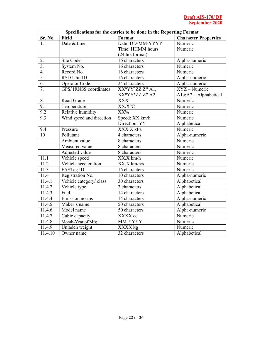| Specifications for the entries to be done in the Reporting Format |                              |                  |                             |  |  |
|-------------------------------------------------------------------|------------------------------|------------------|-----------------------------|--|--|
| Sr. No.                                                           | <b>Field</b>                 | Format           | <b>Character Properties</b> |  |  |
| 1.                                                                | Date & time                  | Date: DD-MM-YYYY | Numeric                     |  |  |
|                                                                   |                              | Time: HHMM hours | Numeric                     |  |  |
|                                                                   |                              | (24 hrs format)  |                             |  |  |
| 2.                                                                | Site Code                    | 16 characters    | Alpha-numeric               |  |  |
| $\overline{3}$ .                                                  | System No.                   | 16 characters    | Numeric                     |  |  |
| 4.                                                                | Record No.                   | 16 characters    | Numeric                     |  |  |
| $\overline{5}$ .                                                  | RSD Unit ID                  | 16 characters    | Alpha-numeric               |  |  |
| 6.                                                                | Operator Code                | 24 characters    | Alpha-numeric               |  |  |
| 7.                                                                | <b>GPS/IRNSS</b> coordinates | XX°YY'ZZ.Z" A1,  | $XYZ - Numeric$             |  |  |
|                                                                   |                              | XX°YY'ZZ.Z" A2   | $A1&A2 - Alphabetical$      |  |  |
| 8.                                                                | Road Grade                   | $XXX^{\circ}$    | Numeric                     |  |  |
| 9.1                                                               | Temperature                  | XX.X°C           | Numeric                     |  |  |
| 9.2                                                               | Relative humidity            | XX%              | Numeric                     |  |  |
| 9.3                                                               | Wind speed and direction     | Speed: XX km/h   | Numeric                     |  |  |
|                                                                   |                              | Direction: YY    | Alphabetical                |  |  |
| 9.4                                                               | Pressure                     | XXX.X kPa        | Numeric                     |  |  |
| 10                                                                | Pollutant                    | 4 characters     | Alpha-numeric               |  |  |
|                                                                   | Ambient value                | 8 characters     | Numeric                     |  |  |
|                                                                   | Measured value               | 8 characters     | Numeric                     |  |  |
|                                                                   | Adjusted value               | 8 characters     | Numeric                     |  |  |
| 11.1                                                              | Vehicle speed                | XX.X km/h        | Numeric                     |  |  |
| 11.2                                                              | Vehicle acceleration         | XX.X km/h/s      | Numeric                     |  |  |
| 11.3                                                              | FASTag ID                    | 16 characters    | Numeric                     |  |  |
| 11.4                                                              | Registration No.             | 10 characters    | Alpha-numeric               |  |  |
| 11.4.1                                                            | Vehicle category/ class      | 30 characters    | Alphabetical                |  |  |
| 11.4.2                                                            | Vehicle type                 | 3 characters     | Alphabetical                |  |  |
| 11.4.3                                                            | Fuel                         | 14 characters    | Alphabetical                |  |  |
| 11.4.4                                                            | Emission norms               | 14 characters    | Alpha-numeric               |  |  |
| 11.4.5                                                            | Maker's name                 | 50 characters    | Alphabetical                |  |  |
| 11.4.6                                                            | Model name                   | 50 characters    | Alpha-numeric               |  |  |
| 11.4.7                                                            | Cubic capacity               | XXXX cc          | Numeric                     |  |  |
| 11.4.8                                                            | Month-Year of Mfg.           | MM-YYYY          | Numeric                     |  |  |
| 11.4.9                                                            | Unladen weight               | XXXX kg          | Numeric                     |  |  |
| 11.4.10                                                           | Owner name                   | $32$ characters  | Alphabetical                |  |  |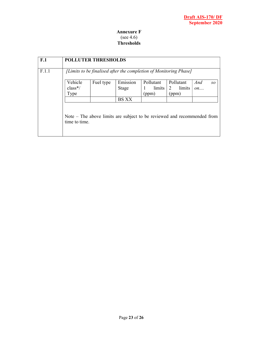#### Annexure F (see 4.6) **Thresholds**

| F <sub>1</sub>                                                             | <b>POLLUTER THRESHOLDS</b> |           |              |                                                                         |             |     |    |
|----------------------------------------------------------------------------|----------------------------|-----------|--------------|-------------------------------------------------------------------------|-------------|-----|----|
| F.1.1<br>[Limits to be finalised after the completion of Monitoring Phase] |                            |           |              |                                                                         |             |     |    |
|                                                                            | Vehicle                    | Fuel type | Emission     | Pollutant                                                               | Pollutant   | And | SO |
|                                                                            | $class*/$                  |           | Stage        | limits<br>1                                                             | 2<br>limits | on  |    |
|                                                                            | Type                       |           |              | (ppm)                                                                   | (ppm)       |     |    |
|                                                                            |                            |           | <b>BS XX</b> |                                                                         |             |     |    |
|                                                                            | time to time.              |           |              | Note – The above limits are subject to be reviewed and recommended from |             |     |    |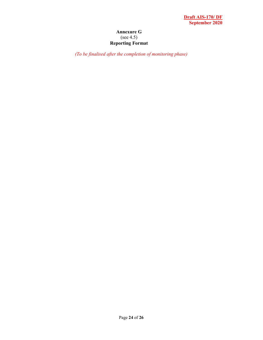#### Annexure G (see 4.5) Reporting Format

(To be finalised after the completion of monitoring phase)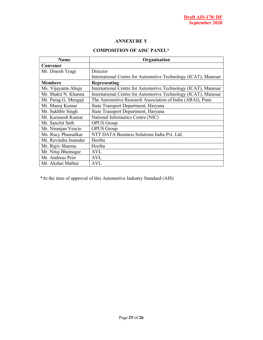#### ANNEXURE Y

#### COMPOSITION OF AISC PANEL\*

| <b>Name</b>          | Organisation                                                   |  |  |  |
|----------------------|----------------------------------------------------------------|--|--|--|
| Convener             |                                                                |  |  |  |
| Mr. Dinesh Tyagi     | Director                                                       |  |  |  |
|                      | International Centre for Automotive Technology (ICAT), Manesar |  |  |  |
| <b>Members</b>       | Representing                                                   |  |  |  |
| Ms. Vijayanta Ahuja  | International Centre for Automotive Technology (ICAT), Manesar |  |  |  |
| Mr. Shakti N. Khanna | International Centre for Automotive Technology (ICAT), Manesar |  |  |  |
| Mr. Parag G. Mengaji | The Automotive Research Association of India (ARAI), Pune      |  |  |  |
| Mr. Manoj Kumar      | State Transport Department, Haryana                            |  |  |  |
| Mr. Sukhbir Singh    | State Transport Department, Haryana                            |  |  |  |
| Mr. Karunesh Kumar   | National Informatics Centre (NIC)                              |  |  |  |
| Mr. Sanchit Seth     | <b>OPUS</b> Group                                              |  |  |  |
| Mr. Niranjan Vescio  | <b>OPUS</b> Group                                              |  |  |  |
| Ms. Rucy Phansalkar  | NTT DATA Business Solutions India Pvt. Ltd.                    |  |  |  |
| Mr. Ravindra Inamdar | Horiba                                                         |  |  |  |
| Mr. Rajiv Sharma     | Horiba                                                         |  |  |  |
| Mr. Nituj Bhatnagar  | <b>AVL</b>                                                     |  |  |  |
| Mr. Andreas Pein     | <b>AVL</b>                                                     |  |  |  |
| Mr. Akshat Mathur    | <b>AVL</b>                                                     |  |  |  |

\*At the time of approval of this Automotive Industry Standard (AIS)